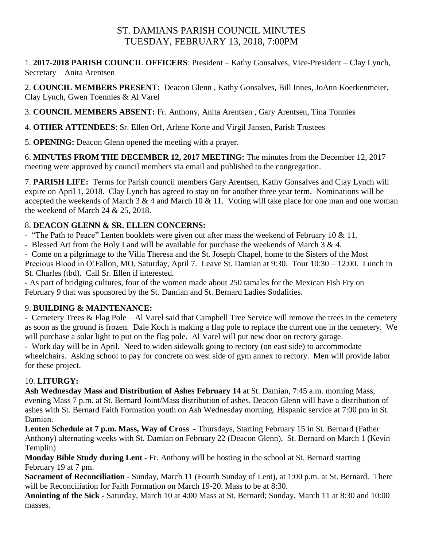# ST. DAMIANS PARISH COUNCIL MINUTES TUESDAY, FEBRUARY 13, 2018, 7:00PM

1. **2017-2018 PARISH COUNCIL OFFICERS**: President – Kathy Gonsalves, Vice-President – Clay Lynch, Secretary – Anita Arentsen

2. **COUNCIL MEMBERS PRESENT**: Deacon Glenn , Kathy Gonsalves, Bill Innes, JoAnn Koerkenmeier, Clay Lynch, Gwen Toennies & Al Varel

3. **COUNCIL MEMBERS ABSENT:** Fr. Anthony, Anita Arentsen , Gary Arentsen, Tina Tonnies

4. **OTHER ATTENDEES**: Sr. Ellen Orf, Arlene Korte and Virgil Jansen, Parish Trustees

5. **OPENING:** Deacon Glenn opened the meeting with a prayer.

6. **MINUTES FROM THE DECEMBER 12, 2017 MEETING:** The minutes from the December 12, 2017 meeting were approved by council members via email and published to the congregation.

7. **PARISH LIFE:** Terms for Parish council members Gary Arentsen, Kathy Gonsalves and Clay Lynch will expire on April 1, 2018. Clay Lynch has agreed to stay on for another three year term. Nominations will be accepted the weekends of March 3  $\&$  4 and March 10  $\&$  11. Voting will take place for one man and one woman the weekend of March 24 & 25, 2018.

# 8. **DEACON GLENN & SR. ELLEN CONCERNS:**

- "The Path to Peace" Lenten booklets were given out after mass the weekend of February 10 & 11.

- Blessed Art from the Holy Land will be available for purchase the weekends of March 3 & 4.

- Come on a pilgrimage to the Villa Theresa and the St. Joseph Chapel, home to the Sisters of the Most Precious Blood in O'Fallon, MO, Saturday, April 7. Leave St. Damian at 9:30. Tour 10:30 – 12:00. Lunch in St. Charles (tbd). Call Sr. Ellen if interested.

- As part of bridging cultures, four of the women made about 250 tamales for the Mexican Fish Fry on February 9 that was sponsored by the St. Damian and St. Bernard Ladies Sodalities.

# 9. **BUILDING & MAINTENANCE:**

- Cemetery Trees & Flag Pole – Al Varel said that Campbell Tree Service will remove the trees in the cemetery as soon as the ground is frozen. Dale Koch is making a flag pole to replace the current one in the cemetery. We will purchase a solar light to put on the flag pole. Al Varel will put new door on rectory garage.

- Work day will be in April. Need to widen sidewalk going to rectory (on east side) to accommodate wheelchairs. Asking school to pay for concrete on west side of gym annex to rectory. Men will provide labor for these project.

# 10. **LITURGY:**

**Ash Wednesday Mass and Distribution of Ashes February 14** at St. Damian, 7:45 a.m. morning Mass, evening Mass 7 p.m. at St. Bernard Joint/Mass distribution of ashes. Deacon Glenn will have a distribution of ashes with St. Bernard Faith Formation youth on Ash Wednesday morning. Hispanic service at 7:00 pm in St. Damian.

**Lenten Schedule at 7 p.m. Mass, Way of Cross -** Thursdays, Starting February 15 in St. Bernard (Father Anthony) alternating weeks with St. Damian on February 22 (Deacon Glenn), St. Bernard on March 1 (Kevin Templin)

**Monday Bible Study during Lent -** Fr. Anthony will be hosting in the school at St. Bernard starting February 19 at 7 pm.

**Sacrament of Reconciliation** - Sunday, March 11 (Fourth Sunday of Lent), at 1:00 p.m. at St. Bernard. There will be Reconciliation for Faith Formation on March 19-20. Mass to be at 8:30.

**Anointing of the Sick -** Saturday, March 10 at 4:00 Mass at St. Bernard; Sunday, March 11 at 8:30 and 10:00 masses.